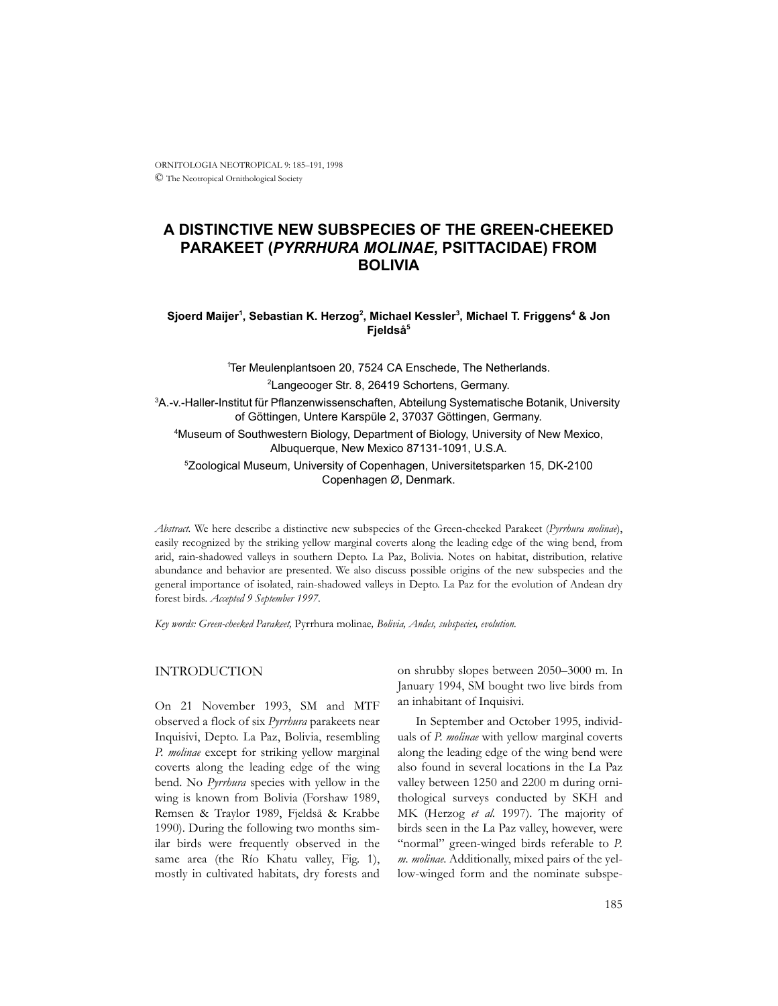# **A DISTINCTIVE NEW SUBSPECIES OF THE GREEN-CHEEKED PARAKEET (***PYRRHURA MOLINAE***, PSITTACIDAE) FROM BOLIVIA**

## ${\bf S}$ joerd Maijer<sup>1</sup>, Sebastian K. Herzog<sup>2</sup>, Michael Kessler $^3$ , Michael T. Friggens $^4$  & Jon **Fjeldså5**

1 Ter Meulenplantsoen 20, 7524 CA Enschede, The Netherlands. <sup>2</sup> Langeooger Str. 8, 26419 Schortens, Germany. 3 A.-v.-Haller-Institut für Pflanzenwissenschaften, Abteilung Systematische Botanik, University of Göttingen, Untere Karspüle 2, 37037 Göttingen, Germany. 4 Museum of Southwestern Biology, Department of Biology, University of New Mexico, Albuquerque, New Mexico 87131-1091, U.S.A. 5 Zoological Museum, University of Copenhagen, Universitetsparken 15, DK-2100 Copenhagen Ø, Denmark.

*Abstract.* We here describe a distinctive new subspecies of the Green-cheeked Parakeet (*Pyrrhura molinae*), easily recognized by the striking yellow marginal coverts along the leading edge of the wing bend, from arid, rain-shadowed valleys in southern Depto. La Paz, Bolivia. Notes on habitat, distribution, relative abundance and behavior are presented. We also discuss possible origins of the new subspecies and the general importance of isolated, rain-shadowed valleys in Depto. La Paz for the evolution of Andean dry forest birds. *Accepted 9 September 1997*.

*Key words: Green-cheeked Parakeet,* Pyrrhura molinae*, Bolivia, Andes, subspecies, evolution.*

## INTRODUCTION

On 21 November 1993, SM and MTF observed a flock of six *Pyrrhura* parakeets near Inquisivi, Depto. La Paz, Bolivia, resembling *P. molinae* except for striking yellow marginal coverts along the leading edge of the wing bend. No *Pyrrhura* species with yellow in the wing is known from Bolivia (Forshaw 1989, Remsen & Traylor 1989, Fjeldså & Krabbe 1990). During the following two months similar birds were frequently observed in the same area (the Río Khatu valley, Fig. 1), mostly in cultivated habitats, dry forests and on shrubby slopes between 2050–3000 m. In January 1994, SM bought two live birds from an inhabitant of Inquisivi.

In September and October 1995, individuals of *P. molinae* with yellow marginal coverts along the leading edge of the wing bend were also found in several locations in the La Paz valley between 1250 and 2200 m during ornithological surveys conducted by SKH and MK (Herzog *et al.* 1997). The majority of birds seen in the La Paz valley, however, were "normal" green-winged birds referable to *P. m. molinae*. Additionally, mixed pairs of the yellow-winged form and the nominate subspe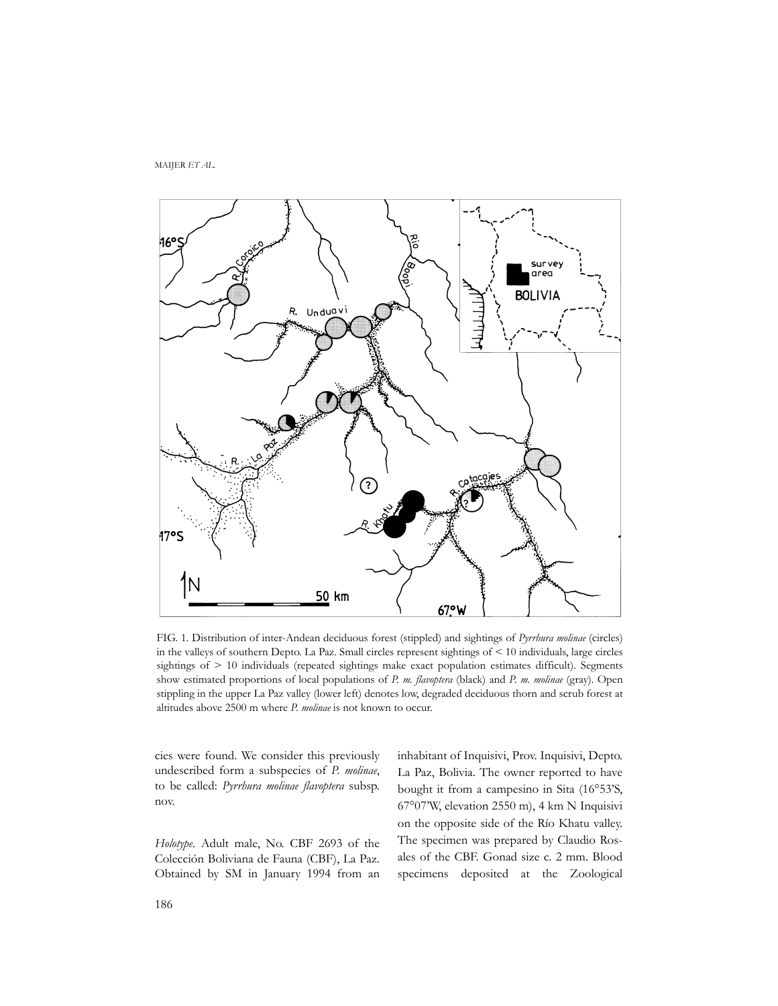MAIJER *ET AL.*



FIG. 1. Distribution of inter-Andean deciduous forest (stippled) and sightings of *Pyrrhura molinae* (circles) in the valleys of southern Depto. La Paz. Small circles represent sightings of < 10 individuals, large circles sightings of > 10 individuals (repeated sightings make exact population estimates difficult). Segments show estimated proportions of local populations of *P. m. flavoptera* (black) and *P. m. molinae* (gray). Open stippling in the upper La Paz valley (lower left) denotes low, degraded deciduous thorn and scrub forest at altitudes above 2500 m where *P. molinae* is not known to occur.

cies were found. We consider this previously undescribed form a subspecies of *P. molinae*, to be called: *Pyrrhura molinae flavoptera* subsp. nov.

*Holotype.* Adult male, No. CBF 2693 of the Colección Boliviana de Fauna (CBF), La Paz. Obtained by SM in January 1994 from an inhabitant of Inquisivi, Prov. Inquisivi, Depto. La Paz, Bolivia. The owner reported to have bought it from a campesino in Sita (16°53'S, 67°07'W, elevation 2550 m), 4 km N Inquisivi on the opposite side of the Río Khatu valley. The specimen was prepared by Claudio Rosales of the CBF. Gonad size c. 2 mm. Blood specimens deposited at the Zoological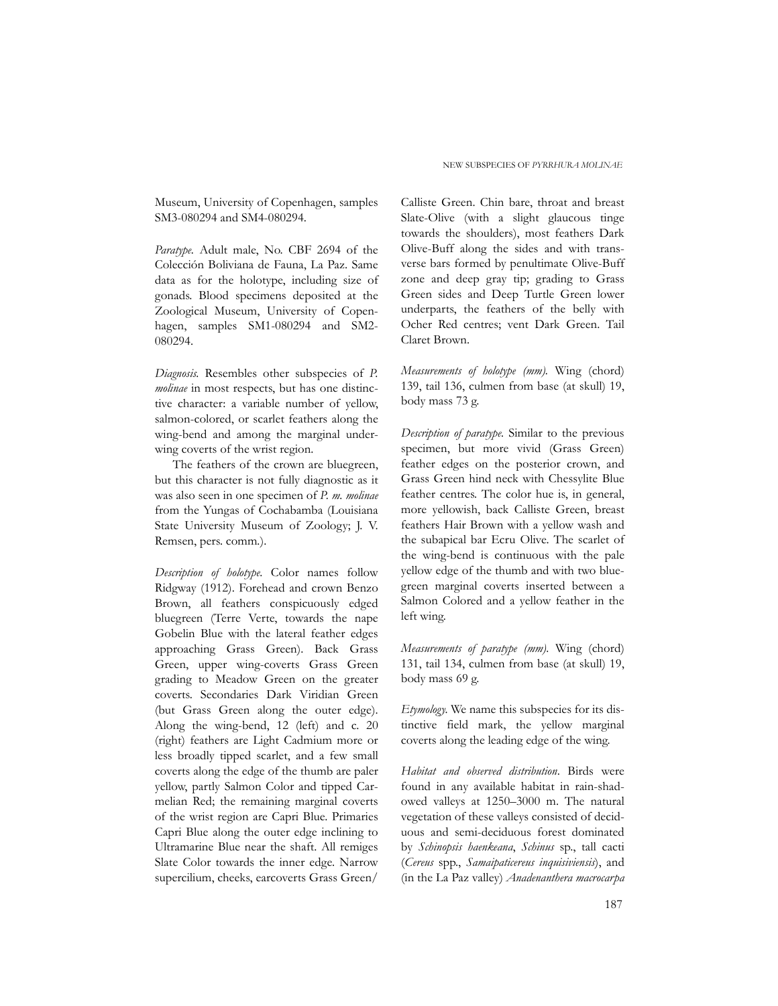Museum, University of Copenhagen, samples SM3-080294 and SM4-080294.

*Paratype.* Adult male, No. CBF 2694 of the Colección Boliviana de Fauna, La Paz. Same data as for the holotype, including size of gonads. Blood specimens deposited at the Zoological Museum, University of Copenhagen, samples SM1-080294 and SM2- 080294.

*Diagnosis.* Resembles other subspecies of *P. molinae* in most respects, but has one distinctive character: a variable number of yellow, salmon-colored, or scarlet feathers along the wing-bend and among the marginal underwing coverts of the wrist region.

The feathers of the crown are bluegreen, but this character is not fully diagnostic as it was also seen in one specimen of *P. m. molinae* from the Yungas of Cochabamba (Louisiana State University Museum of Zoology; J. V. Remsen, pers. comm*.*).

*Description of holotype.* Color names follow Ridgway (1912). Forehead and crown Benzo Brown, all feathers conspicuously edged bluegreen (Terre Verte, towards the nape Gobelin Blue with the lateral feather edges approaching Grass Green). Back Grass Green, upper wing-coverts Grass Green grading to Meadow Green on the greater coverts. Secondaries Dark Viridian Green (but Grass Green along the outer edge). Along the wing-bend, 12 (left) and c. 20 (right) feathers are Light Cadmium more or less broadly tipped scarlet, and a few small coverts along the edge of the thumb are paler yellow, partly Salmon Color and tipped Carmelian Red; the remaining marginal coverts of the wrist region are Capri Blue. Primaries Capri Blue along the outer edge inclining to Ultramarine Blue near the shaft. All remiges Slate Color towards the inner edge. Narrow supercilium, cheeks, earcoverts Grass Green/

Calliste Green. Chin bare, throat and breast Slate-Olive (with a slight glaucous tinge towards the shoulders), most feathers Dark Olive-Buff along the sides and with transverse bars formed by penultimate Olive-Buff zone and deep gray tip; grading to Grass Green sides and Deep Turtle Green lower underparts, the feathers of the belly with Ocher Red centres; vent Dark Green. Tail Claret Brown.

*Measurements of holotype (mm).* Wing (chord) 139, tail 136, culmen from base (at skull) 19, body mass 73 g.

*Description of paratype.* Similar to the previous specimen, but more vivid (Grass Green) feather edges on the posterior crown, and Grass Green hind neck with Chessylite Blue feather centres. The color hue is, in general, more yellowish, back Calliste Green, breast feathers Hair Brown with a yellow wash and the subapical bar Ecru Olive. The scarlet of the wing-bend is continuous with the pale yellow edge of the thumb and with two bluegreen marginal coverts inserted between a Salmon Colored and a yellow feather in the left wing.

*Measurements of paratype (mm).* Wing (chord) 131, tail 134, culmen from base (at skull) 19, body mass 69 g.

*Etymology.* We name this subspecies for its distinctive field mark, the yellow marginal coverts along the leading edge of the wing.

*Habitat and observed distribution*. Birds were found in any available habitat in rain-shadowed valleys at 1250–3000 m. The natural vegetation of these valleys consisted of deciduous and semi-deciduous forest dominated by *Schinopsis haenkeana*, *Schinus* sp., tall cacti (*Cereus* spp., *Samaipaticereus inquisiviensis*), and (in the La Paz valley) *Anadenanthera macrocarpa*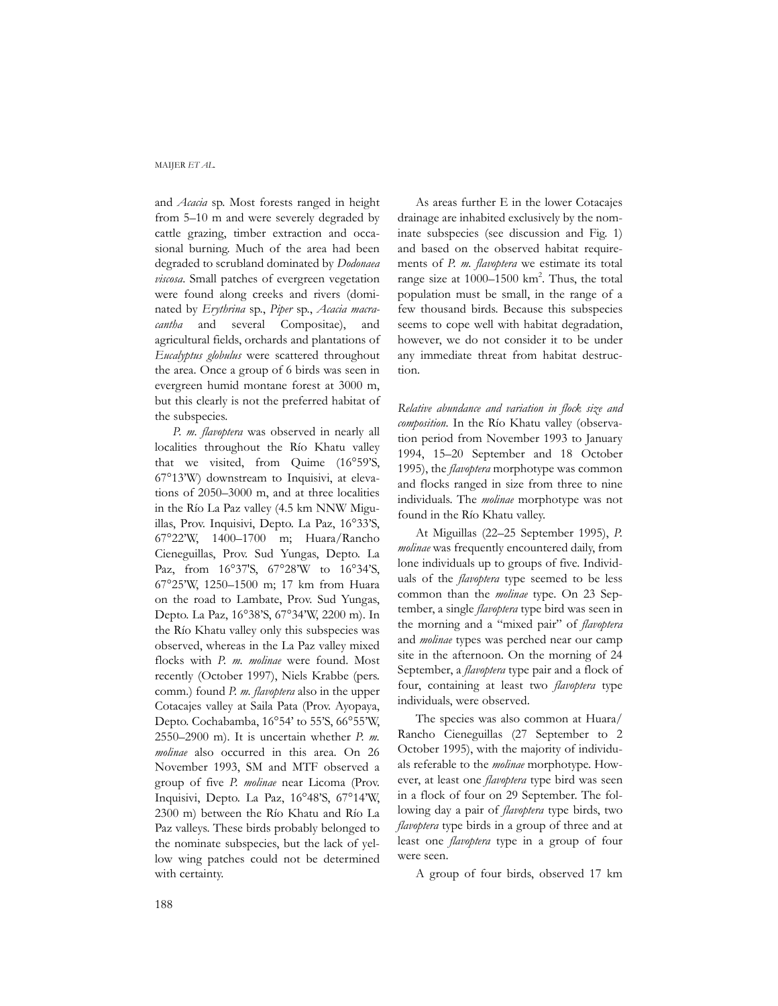#### MAIJER *ET AL.*

and *Acacia* sp. Most forests ranged in height from 5–10 m and were severely degraded by cattle grazing, timber extraction and occasional burning. Much of the area had been degraded to scrubland dominated by *Dodonaea viscosa*. Small patches of evergreen vegetation were found along creeks and rivers (dominated by *Erythrina* sp., *Piper* sp., *Acacia macracantha* and several Compositae), and agricultural fields, orchards and plantations of *Eucalyptus globulus* were scattered throughout the area. Once a group of 6 birds was seen in evergreen humid montane forest at 3000 m, but this clearly is not the preferred habitat of the subspecies.

*P. m. flavoptera* was observed in nearly all localities throughout the Río Khatu valley that we visited, from Quime (16°59'S, 67°13'W) downstream to Inquisivi, at elevations of 2050–3000 m, and at three localities in the Río La Paz valley (4.5 km NNW Miguillas, Prov. Inquisivi, Depto. La Paz, 16°33'S, 67°22'W, 1400–1700 m; Huara/Rancho Cieneguillas, Prov. Sud Yungas, Depto. La Paz, from 16°37'S, 67°28'W to 16°34'S, 67°25'W, 1250–1500 m; 17 km from Huara on the road to Lambate, Prov. Sud Yungas, Depto. La Paz, 16°38'S, 67°34'W, 2200 m). In the Río Khatu valley only this subspecies was observed, whereas in the La Paz valley mixed flocks with *P. m. molinae* were found. Most recently (October 1997), Niels Krabbe (pers. comm*.*) found *P. m. flavoptera* also in the upper Cotacajes valley at Saila Pata (Prov. Ayopaya, Depto. Cochabamba, 16°54' to 55'S, 66°55'W, 2550–2900 m). It is uncertain whether *P. m. molinae* also occurred in this area. On 26 November 1993, SM and MTF observed a group of five *P. molinae* near Licoma (Prov. Inquisivi, Depto. La Paz, 16°48'S, 67°14'W, 2300 m) between the Río Khatu and Río La Paz valleys. These birds probably belonged to the nominate subspecies, but the lack of yellow wing patches could not be determined with certainty.

As areas further E in the lower Cotacajes drainage are inhabited exclusively by the nominate subspecies (see discussion and Fig. 1) and based on the observed habitat requirements of *P. m. flavoptera* we estimate its total range size at 1000-1500 km<sup>2</sup>. Thus, the total population must be small, in the range of a few thousand birds. Because this subspecies seems to cope well with habitat degradation, however, we do not consider it to be under any immediate threat from habitat destruction.

*Relative abundance and variation in flock size and composition.* In the Río Khatu valley (observation period from November 1993 to January 1994, 15–20 September and 18 October 1995), the *flavoptera* morphotype was common and flocks ranged in size from three to nine individuals. The *molinae* morphotype was not found in the Río Khatu valley.

At Miguillas (22–25 September 1995), *P. molinae* was frequently encountered daily, from lone individuals up to groups of five. Individuals of the *flavoptera* type seemed to be less common than the *molinae* type. On 23 September, a single *flavoptera* type bird was seen in the morning and a "mixed pair" of *flavoptera* and *molinae* types was perched near our camp site in the afternoon. On the morning of 24 September, a *flavoptera* type pair and a flock of four, containing at least two *flavoptera* type individuals, were observed.

The species was also common at Huara/ Rancho Cieneguillas (27 September to 2 October 1995), with the majority of individuals referable to the *molinae* morphotype. However, at least one *flavoptera* type bird was seen in a flock of four on 29 September. The following day a pair of *flavoptera* type birds, two *flavoptera* type birds in a group of three and at least one *flavoptera* type in a group of four were seen.

A group of four birds, observed 17 km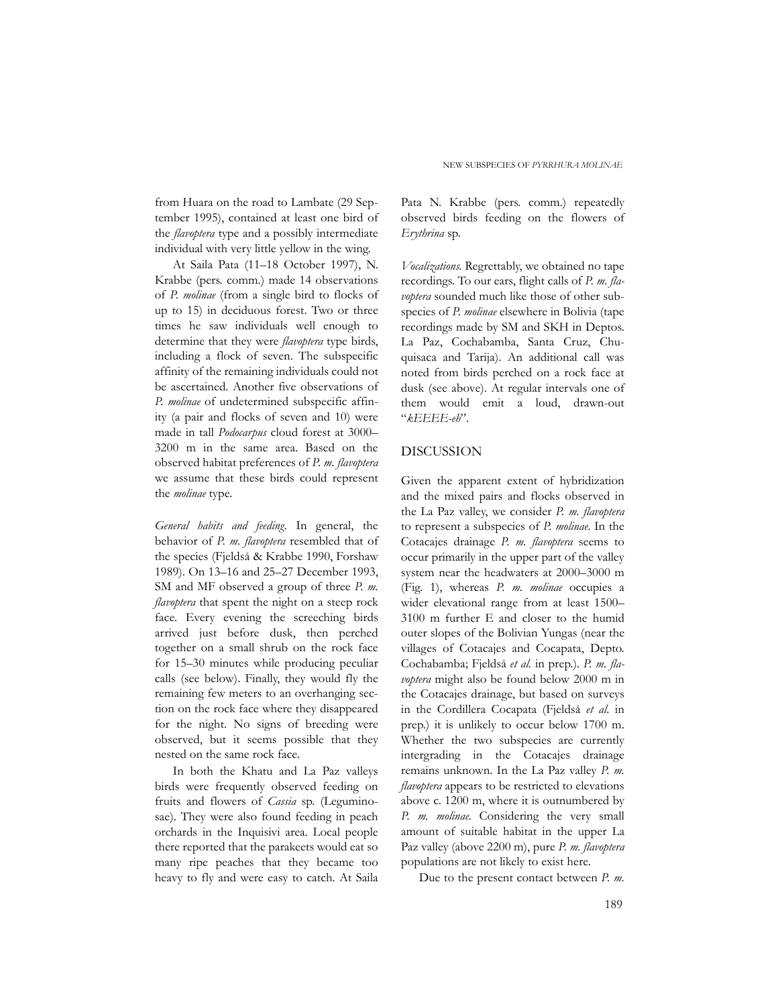from Huara on the road to Lambate (29 September 1995), contained at least one bird of the *flavoptera* type and a possibly intermediate individual with very little yellow in the wing.

At Saila Pata (11–18 October 1997), N. Krabbe (pers. comm*.*) made 14 observations of *P. molinae* (from a single bird to flocks of up to 15) in deciduous forest. Two or three times he saw individuals well enough to determine that they were *flavoptera* type birds, including a flock of seven. The subspecific affinity of the remaining individuals could not be ascertained. Another five observations of *P. molinae* of undetermined subspecific affinity (a pair and flocks of seven and 10) were made in tall *Podocarpus* cloud forest at 3000– 3200 m in the same area. Based on the observed habitat preferences of *P. m. flavoptera* we assume that these birds could represent the *molinae* type.

*General habits and feeding.* In general, the behavior of *P. m. flavoptera* resembled that of the species (Fjeldså & Krabbe 1990, Forshaw 1989). On 13–16 and 25–27 December 1993, SM and MF observed a group of three *P. m. flavoptera* that spent the night on a steep rock face. Every evening the screeching birds arrived just before dusk, then perched together on a small shrub on the rock face for 15–30 minutes while producing peculiar calls (see below). Finally, they would fly the remaining few meters to an overhanging section on the rock face where they disappeared for the night. No signs of breeding were observed, but it seems possible that they nested on the same rock face.

In both the Khatu and La Paz valleys birds were frequently observed feeding on fruits and flowers of *Cassia* sp. (Leguminosae). They were also found feeding in peach orchards in the Inquisivi area. Local people there reported that the parakeets would eat so many ripe peaches that they became too heavy to fly and were easy to catch. At Saila

Pata N. Krabbe (pers. comm.) repeatedly observed birds feeding on the flowers of *Erythrina* sp.

*Vocalizations.* Regrettably, we obtained no tape recordings. To our ears, flight calls of *P. m. flavoptera* sounded much like those of other subspecies of *P. molinae* elsewhere in Bolivia (tape recordings made by SM and SKH in Deptos. La Paz, Cochabamba, Santa Cruz, Chuquisaca and Tarija). An additional call was noted from birds perched on a rock face at dusk (see above). At regular intervals one of them would emit a loud, drawn-out "*kEEEE-eh*".

### DISCUSSION

Given the apparent extent of hybridization and the mixed pairs and flocks observed in the La Paz valley, we consider *P. m. flavoptera* to represent a subspecies of *P. molinae*. In the Cotacajes drainage *P. m. flavoptera* seems to occur primarily in the upper part of the valley system near the headwaters at 2000–3000 m (Fig. 1), whereas *P. m. molinae* occupies a wider elevational range from at least 1500– 3100 m further E and closer to the humid outer slopes of the Bolivian Yungas (near the villages of Cotacajes and Cocapata, Depto. Cochabamba; Fjeldså *et al.* in prep.). *P. m. flavoptera* might also be found below 2000 m in the Cotacajes drainage, but based on surveys in the Cordillera Cocapata (Fjeldså *et al*. in prep.) it is unlikely to occur below 1700 m. Whether the two subspecies are currently intergrading in the Cotacajes drainage remains unknown. In the La Paz valley *P. m. flavoptera* appears to be restricted to elevations above c. 1200 m, where it is outnumbered by *P. m. molinae*. Considering the very small amount of suitable habitat in the upper La Paz valley (above 2200 m), pure *P. m. flavoptera* populations are not likely to exist here.

Due to the present contact between *P. m.*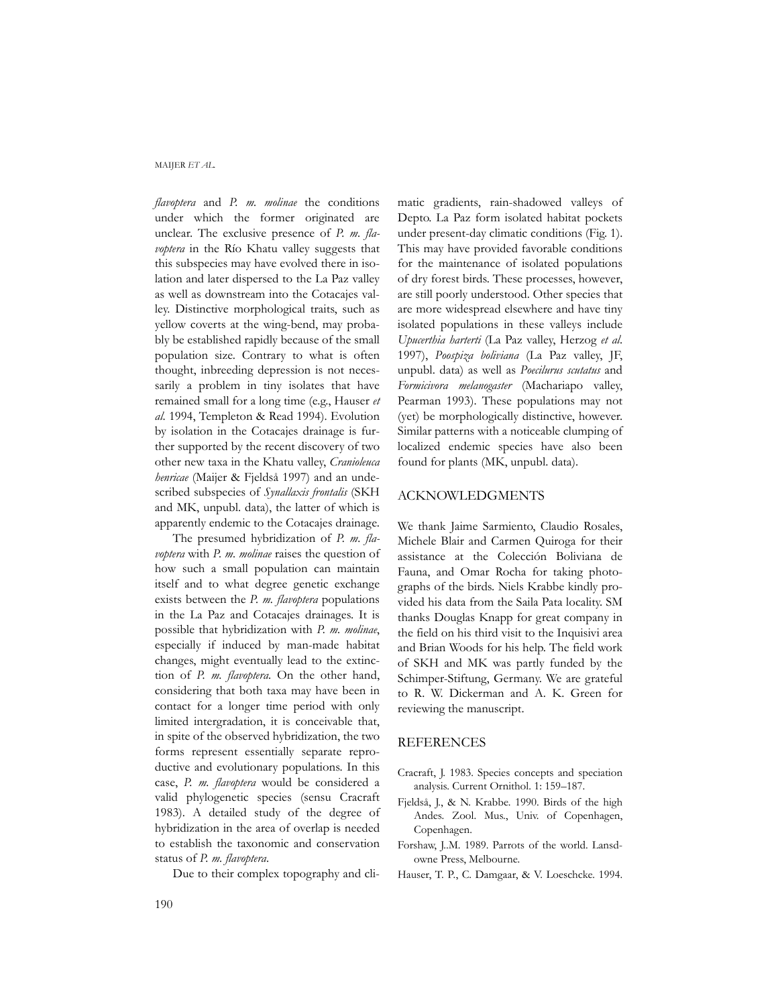#### MAIJER *ET AL.*

*flavoptera* and *P. m. molinae* the conditions under which the former originated are unclear. The exclusive presence of *P. m. flavoptera* in the Río Khatu valley suggests that this subspecies may have evolved there in isolation and later dispersed to the La Paz valley as well as downstream into the Cotacajes valley. Distinctive morphological traits, such as yellow coverts at the wing-bend, may probably be established rapidly because of the small population size. Contrary to what is often thought, inbreeding depression is not necessarily a problem in tiny isolates that have remained small for a long time (e.g., Hauser *et al*. 1994, Templeton & Read 1994). Evolution by isolation in the Cotacajes drainage is further supported by the recent discovery of two other new taxa in the Khatu valley, *Cranioleuca henricae* (Maijer & Fjeldså 1997) and an undescribed subspecies of *Synallaxis frontalis* (SKH and MK, unpubl. data), the latter of which is apparently endemic to the Cotacajes drainage.

The presumed hybridization of *P. m. flavoptera* with *P. m. molinae* raises the question of how such a small population can maintain itself and to what degree genetic exchange exists between the *P. m. flavoptera* populations in the La Paz and Cotacajes drainages. It is possible that hybridization with *P. m. molinae*, especially if induced by man-made habitat changes, might eventually lead to the extinction of *P. m. flavoptera*. On the other hand, considering that both taxa may have been in contact for a longer time period with only limited intergradation, it is conceivable that, in spite of the observed hybridization, the two forms represent essentially separate reproductive and evolutionary populations. In this case, *P. m. flavoptera* would be considered a valid phylogenetic species (sensu Cracraft 1983). A detailed study of the degree of hybridization in the area of overlap is needed to establish the taxonomic and conservation status of *P. m. flavoptera*.

Due to their complex topography and cli-

matic gradients, rain-shadowed valleys of Depto. La Paz form isolated habitat pockets under present-day climatic conditions (Fig. 1). This may have provided favorable conditions for the maintenance of isolated populations of dry forest birds. These processes, however, are still poorly understood. Other species that are more widespread elsewhere and have tiny isolated populations in these valleys include *Upucerthia harterti* (La Paz valley, Herzog *et al*. 1997), *Poospiza boliviana* (La Paz valley, JF, unpubl. data) as well as *Poecilurus scutatus* and *Formicivora melanogaster* (Machariapo valley, Pearman 1993). These populations may not (yet) be morphologically distinctive, however. Similar patterns with a noticeable clumping of localized endemic species have also been found for plants (MK, unpubl. data).

#### ACKNOWLEDGMENTS

We thank Jaime Sarmiento, Claudio Rosales, Michele Blair and Carmen Quiroga for their assistance at the Colección Boliviana de Fauna, and Omar Rocha for taking photographs of the birds. Niels Krabbe kindly provided his data from the Saila Pata locality. SM thanks Douglas Knapp for great company in the field on his third visit to the Inquisivi area and Brian Woods for his help. The field work of SKH and MK was partly funded by the Schimper-Stiftung, Germany. We are grateful to R. W. Dickerman and A. K. Green for reviewing the manuscript.

#### REFERENCES

- Cracraft, J. 1983. Species concepts and speciation analysis. Current Ornithol. 1: 159–187.
- Fjeldså, J., & N. Krabbe. 1990. Birds of the high Andes. Zool. Mus., Univ. of Copenhagen, Copenhagen.
- Forshaw, J..M. 1989. Parrots of the world. Lansdowne Press, Melbourne.
- Hauser, T. P*.*, C. Damgaar, & V. Loeschcke. 1994.